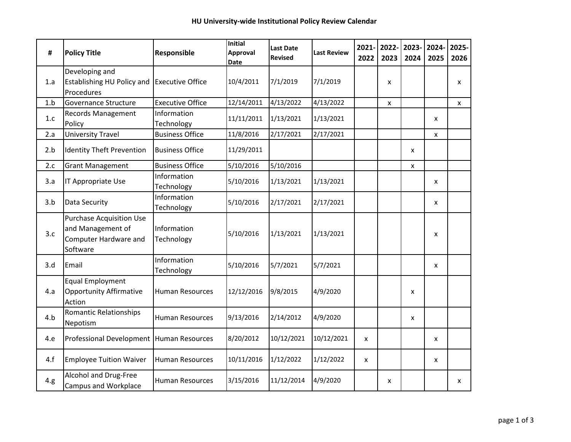| #    | <b>Policy Title</b>                                                                | Responsible               | <b>Initial</b><br>Approval<br>Date | <b>Last Date</b><br><b>Revised</b> | <b>Last Review</b> | 2022 | 2021- 2022- 2023- 2024-<br>2023 | 2024         | 2025 | 2025-<br>2026 |
|------|------------------------------------------------------------------------------------|---------------------------|------------------------------------|------------------------------------|--------------------|------|---------------------------------|--------------|------|---------------|
| 1.a  | Developing and<br>Establishing HU Policy and<br>Procedures                         | <b>Executive Office</b>   | 10/4/2011                          | 7/1/2019                           | 7/1/2019           |      | X                               |              |      | X             |
| 1.b  | Governance Structure                                                               | <b>Executive Office</b>   | 12/14/2011                         | 4/13/2022                          | 4/13/2022          |      | X                               |              |      | $\mathsf{x}$  |
| 1.c  | <b>Records Management</b><br>Policy                                                | Information<br>Technology | 11/11/2011                         | 1/13/2021                          | 1/13/2021          |      |                                 |              | X    |               |
| 2.a  | <b>University Travel</b>                                                           | <b>Business Office</b>    | 11/8/2016                          | 2/17/2021                          | 2/17/2021          |      |                                 |              | X    |               |
| 2.b  | <b>Identity Theft Prevention</b>                                                   | <b>Business Office</b>    | 11/29/2011                         |                                    |                    |      |                                 | X            |      |               |
| 2.c  | <b>Grant Management</b>                                                            | <b>Business Office</b>    | 5/10/2016                          | 5/10/2016                          |                    |      |                                 | $\mathsf{x}$ |      |               |
| 3.a  | IT Appropriate Use                                                                 | Information<br>Technology | 5/10/2016                          | 1/13/2021                          | 1/13/2021          |      |                                 |              | X    |               |
| 3.b  | Data Security                                                                      | Information<br>Technology | 5/10/2016                          | 2/17/2021                          | 2/17/2021          |      |                                 |              | X    |               |
| 3.c  | Purchase Acquisition Use<br>and Management of<br>Computer Hardware and<br>Software | Information<br>Technology | 5/10/2016                          | 1/13/2021                          | 1/13/2021          |      |                                 |              | X    |               |
| 3.d  | Email                                                                              | Information<br>Technology | 5/10/2016                          | 5/7/2021                           | 5/7/2021           |      |                                 |              | X    |               |
| 4.a  | <b>Equal Employment</b><br><b>Opportunity Affirmative</b><br>Action                | Human Resources           | 12/12/2016                         | 9/8/2015                           | 4/9/2020           |      |                                 | $\mathsf{x}$ |      |               |
| 4.b  | <b>Romantic Relationships</b><br>Nepotism                                          | <b>Human Resources</b>    | 9/13/2016                          | 2/14/2012                          | 4/9/2020           |      |                                 | $\mathsf{x}$ |      |               |
| 4.e  | Professional Development   Human Resources                                         |                           | 8/20/2012                          | 10/12/2021                         | 10/12/2021         | X    |                                 |              | X    |               |
| 4.f  | <b>Employee Tuition Waiver</b>                                                     | <b>Human Resources</b>    | 10/11/2016                         | 1/12/2022                          | 1/12/2022          | x    |                                 |              | X    |               |
| 4.g. | Alcohol and Drug-Free<br>Campus and Workplace                                      | <b>Human Resources</b>    | 3/15/2016                          | 11/12/2014                         | 4/9/2020           |      | X                               |              |      | X             |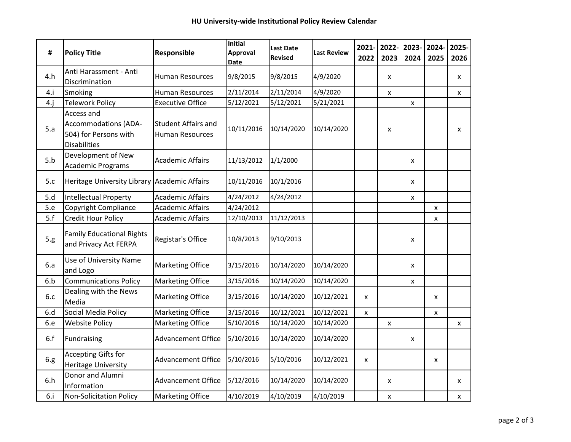| #    | <b>Policy Title</b>                                                                       | Responsible                                          | <b>Initial</b><br>Approval<br><b>Date</b> | <b>Last Date</b><br><b>Revised</b> | <b>Last Review</b> | $2021 -$<br>2022 | 2022-<br>2023             | 2023- 2024-<br>2024 | 2025         | 2025-<br>2026 |
|------|-------------------------------------------------------------------------------------------|------------------------------------------------------|-------------------------------------------|------------------------------------|--------------------|------------------|---------------------------|---------------------|--------------|---------------|
| 4.h  | Anti Harassment - Anti<br>Discrimination                                                  | <b>Human Resources</b>                               | 9/8/2015                                  | 9/8/2015                           | 4/9/2020           |                  | X                         |                     |              | X             |
| 4.i  | Smoking                                                                                   | <b>Human Resources</b>                               | 2/11/2014                                 | 2/11/2014                          | 4/9/2020           |                  | X                         |                     |              | $\mathsf{x}$  |
| 4.j  | <b>Telework Policy</b>                                                                    | <b>Executive Office</b>                              | 5/12/2021                                 | 5/12/2021                          | 5/21/2021          |                  |                           | X                   |              |               |
| 5.a  | Access and<br><b>Accommodations (ADA-</b><br>504) for Persons with<br><b>Disabilities</b> | <b>Student Affairs and</b><br><b>Human Resources</b> | 10/11/2016                                | 10/14/2020                         | 10/14/2020         |                  | X                         |                     |              | x             |
| 5.b  | Development of New<br><b>Academic Programs</b>                                            | <b>Academic Affairs</b>                              | 11/13/2012                                | 1/1/2000                           |                    |                  |                           | x                   |              |               |
| 5.c  | Heritage University Library Academic Affairs                                              |                                                      | 10/11/2016                                | 10/1/2016                          |                    |                  |                           | X                   |              |               |
| 5.d  | <b>Intellectual Property</b>                                                              | <b>Academic Affairs</b>                              | 4/24/2012                                 | 4/24/2012                          |                    |                  |                           | X                   |              |               |
| 5.e  | <b>Copyright Compliance</b>                                                               | <b>Academic Affairs</b>                              | 4/24/2012                                 |                                    |                    |                  |                           |                     | X            |               |
| 5.f  | <b>Credit Hour Policy</b>                                                                 | <b>Academic Affairs</b>                              | 12/10/2013                                | 11/12/2013                         |                    |                  |                           |                     | $\mathsf{x}$ |               |
| 5.g. | <b>Family Educational Rights</b><br>and Privacy Act FERPA                                 | Registar's Office                                    | 10/8/2013                                 | 9/10/2013                          |                    |                  |                           | x                   |              |               |
| 6.a  | Use of University Name<br>and Logo                                                        | <b>Marketing Office</b>                              | 3/15/2016                                 | 10/14/2020                         | 10/14/2020         |                  |                           | X                   |              |               |
| 6.b  | <b>Communications Policy</b>                                                              | <b>Marketing Office</b>                              | 3/15/2016                                 | 10/14/2020                         | 10/14/2020         |                  |                           | X                   |              |               |
| 6.c  | Dealing with the News<br>Media                                                            | <b>Marketing Office</b>                              | 3/15/2016                                 | 10/14/2020                         | 10/12/2021         | $\mathsf{x}$     |                           |                     | $\mathsf{x}$ |               |
| 6.d  | Social Media Policy                                                                       | <b>Marketing Office</b>                              | 3/15/2016                                 | 10/12/2021                         | 10/12/2021         | $\mathsf{x}$     |                           |                     | X            |               |
| 6.e  | <b>Website Policy</b>                                                                     | <b>Marketing Office</b>                              | 5/10/2016                                 | 10/14/2020                         | 10/14/2020         |                  | $\pmb{\mathsf{X}}$        |                     |              | X             |
| 6.f  | Fundraising                                                                               | <b>Advancement Office</b>                            | 5/10/2016                                 | 10/14/2020                         | 10/14/2020         |                  |                           | X                   |              |               |
| 6.g. | <b>Accepting Gifts for</b><br><b>Heritage University</b>                                  | <b>Advancement Office</b>                            | 5/10/2016                                 | 5/10/2016                          | 10/12/2021         | X                |                           |                     | X            |               |
| 6.h  | Donor and Alumni<br>Information                                                           | <b>Advancement Office</b>                            | 5/12/2016                                 | 10/14/2020                         | 10/14/2020         |                  | $\boldsymbol{\mathsf{x}}$ |                     |              | X             |
| 6.i  | Non-Solicitation Policy                                                                   | <b>Marketing Office</b>                              | 4/10/2019                                 | 4/10/2019                          | 4/10/2019          |                  | X                         |                     |              | X             |